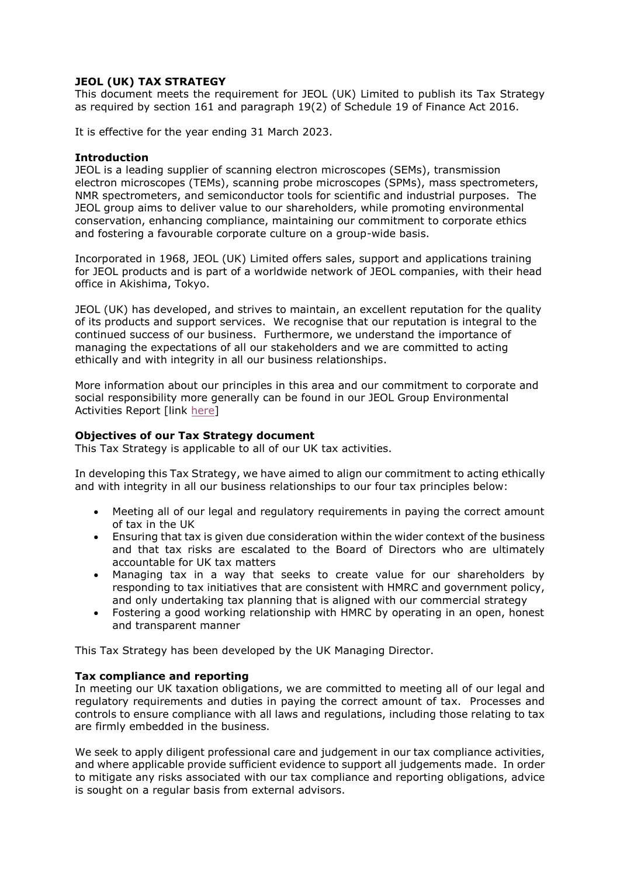# **JEOL (UK) TAX STRATEGY**

This document meets the requirement for JEOL (UK) Limited to publish its Tax Strategy as required by section 161 and paragraph 19(2) of Schedule 19 of Finance Act 2016.

It is effective for the year ending 31 March 2023.

# **Introduction**

JEOL is a leading supplier of scanning electron microscopes (SEMs), transmission electron microscopes (TEMs), scanning probe microscopes (SPMs), mass spectrometers, NMR spectrometers, and semiconductor tools for scientific and industrial purposes. The JEOL group aims to deliver value to our shareholders, while promoting environmental conservation, enhancing compliance, maintaining our commitment to corporate ethics and fostering a favourable corporate culture on a group-wide basis.

Incorporated in 1968, JEOL (UK) Limited offers sales, support and applications training for JEOL products and is part of a worldwide network of JEOL companies, with their head office in Akishima, Tokyo.

JEOL (UK) has developed, and strives to maintain, an excellent reputation for the quality of its products and support services. We recognise that our reputation is integral to the continued success of our business. Furthermore, we understand the importance of managing the expectations of all our stakeholders and we are committed to acting ethically and with integrity in all our business relationships.

More information about our principles in this area and our commitment to corporate and social responsibility more generally can be found in our JEOL Group Environmental Activities Report [lin[k here\]](https://www.jeol.co.jp/en/corporate/ir/download/integrated_report/integrated_report_2020_en.pdf)

# **Objectives of our Tax Strategy document**

This Tax Strategy is applicable to all of our UK tax activities.

In developing this Tax Strategy, we have aimed to align our commitment to acting ethically and with integrity in all our business relationships to our four tax principles below:

- Meeting all of our legal and regulatory requirements in paying the correct amount of tax in the UK
- Ensuring that tax is given due consideration within the wider context of the business and that tax risks are escalated to the Board of Directors who are ultimately accountable for UK tax matters
- Managing tax in a way that seeks to create value for our shareholders by responding to tax initiatives that are consistent with HMRC and government policy, and only undertaking tax planning that is aligned with our commercial strategy
- Fostering a good working relationship with HMRC by operating in an open, honest and transparent manner

This Tax Strategy has been developed by the UK Managing Director.

# **Tax compliance and reporting**

In meeting our UK taxation obligations, we are committed to meeting all of our legal and regulatory requirements and duties in paying the correct amount of tax. Processes and controls to ensure compliance with all laws and regulations, including those relating to tax are firmly embedded in the business.

We seek to apply diligent professional care and judgement in our tax compliance activities, and where applicable provide sufficient evidence to support all judgements made. In order to mitigate any risks associated with our tax compliance and reporting obligations, advice is sought on a regular basis from external advisors.